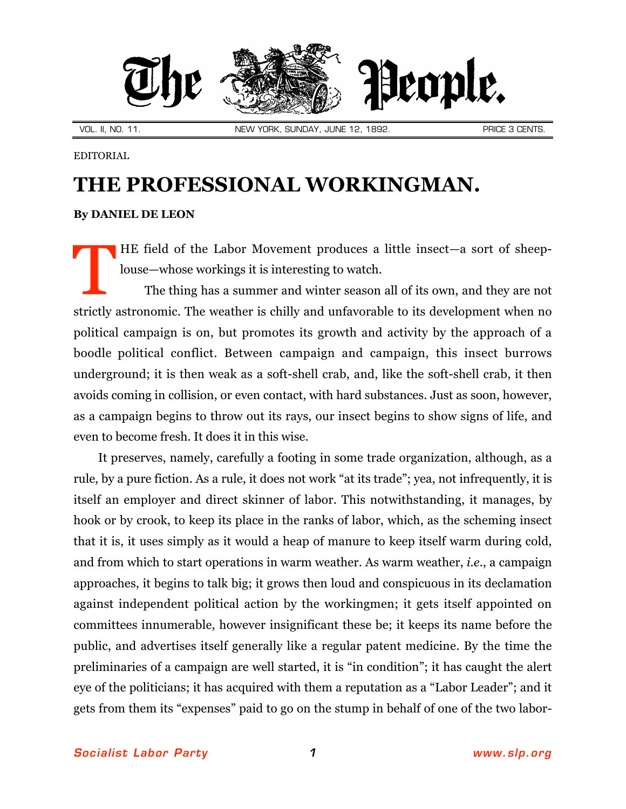

VOL. II, NO. 11. NEW YORK, SUNDAY, JUNE 12, 1892. PRICE 3 CENTS.

EDITORIAL

## **THE PROFESSIONAL WORKINGMAN.**

## **By DANIEL DE LEON**

HE field of the Labor Movement produces a little insect—a sort of sheeplouse—whose workings it is interesting to watch. T

The thing has a summer and winter season all of its own, and they are not strictly astronomic. The weather is chilly and unfavorable to its development when no political campaign is on, but promotes its growth and activity by the approach of a boodle political conflict. Between campaign and campaign, this insect burrows underground; it is then weak as a soft-shell crab, and, like the soft-shell crab, it then avoids coming in collision, or even contact, with hard substances. Just as soon, however, as a campaign begins to throw out its rays, our insect begins to show signs of life, and even to become fresh. It does it in this wise.

It preserves, namely, carefully a footing in some trade organization, although, as a rule, by a pure fiction. As a rule, it does not work "at its trade"; yea, not infrequently, it is itself an employer and direct skinner of labor. This notwithstanding, it manages, by hook or by crook, to keep its place in the ranks of labor, which, as the scheming insect that it is, it uses simply as it would a heap of manure to keep itself warm during cold, and from which to start operations in warm weather. As warm weather, *i.e.*, a campaign approaches, it begins to talk big; it grows then loud and conspicuous in its declamation against independent political action by the workingmen; it gets itself appointed on committees innumerable, however insignificant these be; it keeps its name before the public, and advertises itself generally like a regular patent medicine. By the time the preliminaries of a campaign are well started, it is "in condition"; it has caught the alert eye of the politicians; it has acquired with them a reputation as a "Labor Leader"; and it gets from them its "expenses" paid to go on the stump in behalf of one of the two labor